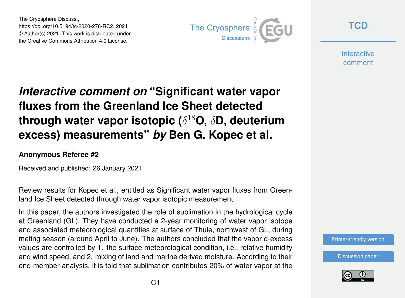The Cryosphere Discuss., https://doi.org/10.5194/tc-2020-276-RC2, 2021 © Author(s) 2021. This work is distributed under the Creative Commons Attribution 4.0 License.



**[TCD](https://tc.copernicus.org/preprints/)**

**Interactive** comment

# *Interactive comment on* **"Significant water vapor fluxes from the Greenland Ice Sheet detected through water vapor isotopic (**δ <sup>18</sup>**O,** δ**D, deuterium excess) measurements"** *by* **Ben G. Kopec et al.**

### **Anonymous Referee #2**

Received and published: 26 January 2021

Review results for Kopec et al., entitled as Significant water vapor fluxes from Greenland Ice Sheet detected through water vapor isotopic measurement

In this paper, the authors investigated the role of sublimation in the hydrological cycle at Greenland (GL). They have conducted a 2-year monitoring of water vapor isotope and associated meteorological quantities at surface of Thule, northwest of GL, during meting season (around April to June). The authors concluded that the vapor d-excess values are controlled by 1. the surface meteorological condition, i.e., relative humidity and wind speed, and 2. mixing of land and marine derived moisture. According to their end-member analysis, it is told that sublimation contributes 20% of water vapor at the

[Discussion paper](https://tc.copernicus.org/preprints/tc-2020-276)

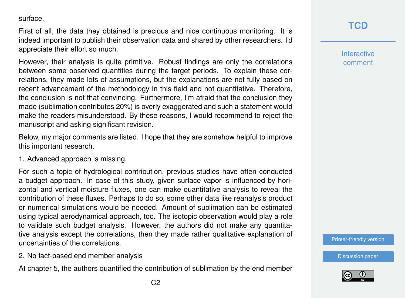surface.

First of all, the data they obtained is precious and nice continuous monitoring. It is indeed important to publish their observation data and shared by other researchers. I'd appreciate their effort so much.

However, their analysis is quite primitive. Robust findings are only the correlations between some observed quantities during the target periods. To explain these correlations, they made lots of assumptions, but the explanations are not fully based on recent advancement of the methodology in this field and not quantitative. Therefore, the conclusion is not that convincing. Furthermore, I'm afraid that the conclusion they made (sublimation contributes 20%) is overly exaggerated and such a statement would make the readers misunderstood. By these reasons, I would recommend to reject the manuscript and asking significant revision.

Below, my major comments are listed. I hope that they are somehow helpful to improve this important research.

1. Advanced approach is missing.

For such a topic of hydrological contribution, previous studies have often conducted a budget approach. In case of this study, given surface vapor is influenced by horizontal and vertical moisture fluxes, one can make quantitative analysis to reveal the contribution of these fluxes. Perhaps to do so, some other data like reanalysis product or numerical simulations would be needed. Amount of sublimation can be estimated using typical aerodynamical approach, too. The isotopic observation would play a role to validate such budget analysis. However, the authors did not make any quantitative analysis except the correlations, then they made rather qualitative explanation of uncertainties of the correlations.

2. No fact-based end member analysis

At chapter 5, the authors quantified the contribution of sublimation by the end member

## **[TCD](https://tc.copernicus.org/preprints/)**

**Interactive** comment

[Printer-friendly version](https://tc.copernicus.org/preprints/tc-2020-276/tc-2020-276-RC2-print.pdf)

[Discussion paper](https://tc.copernicus.org/preprints/tc-2020-276)